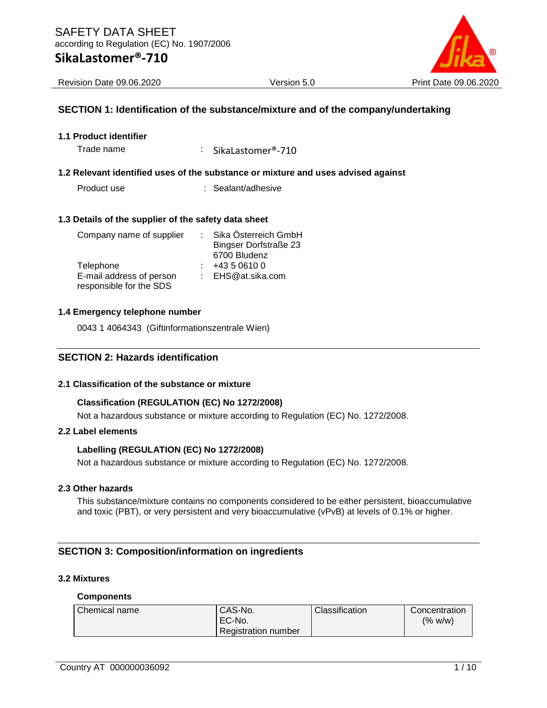

# **SECTION 1: Identification of the substance/mixture and of the company/undertaking**

**1.1 Product identifier**

Trade name  $\qquad \qquad : \qquad$ SikaLastomer®-710

#### **1.2 Relevant identified uses of the substance or mixture and uses advised against**

Product use : Sealant/adhesive

#### **1.3 Details of the supplier of the safety data sheet**

| Company name of supplier |  | Sika Österreich GmbH         |
|--------------------------|--|------------------------------|
|                          |  | <b>Bingser Dorfstraße 23</b> |
|                          |  | 6700 Bludenz                 |
| Telephone                |  | +43 5 0610 0                 |
| E-mail address of person |  | : EHS@at.sika.com            |
| responsible for the SDS  |  |                              |

#### **1.4 Emergency telephone number**

0043 1 4064343 (Giftinformationszentrale Wien)

### **SECTION 2: Hazards identification**

#### **2.1 Classification of the substance or mixture**

#### **Classification (REGULATION (EC) No 1272/2008)**

Not a hazardous substance or mixture according to Regulation (EC) No. 1272/2008.

# **2.2 Label elements**

#### **Labelling (REGULATION (EC) No 1272/2008)**

Not a hazardous substance or mixture according to Regulation (EC) No. 1272/2008.

#### **2.3 Other hazards**

This substance/mixture contains no components considered to be either persistent, bioaccumulative and toxic (PBT), or very persistent and very bioaccumulative (vPvB) at levels of 0.1% or higher.

### **SECTION 3: Composition/information on ingredients**

#### **3.2 Mixtures**

#### **Components**

| Chemical name | CAS-No.                    | Classification | Concentration |
|---------------|----------------------------|----------------|---------------|
|               | EC-No.                     |                | (% w/w)       |
|               | <b>Registration number</b> |                |               |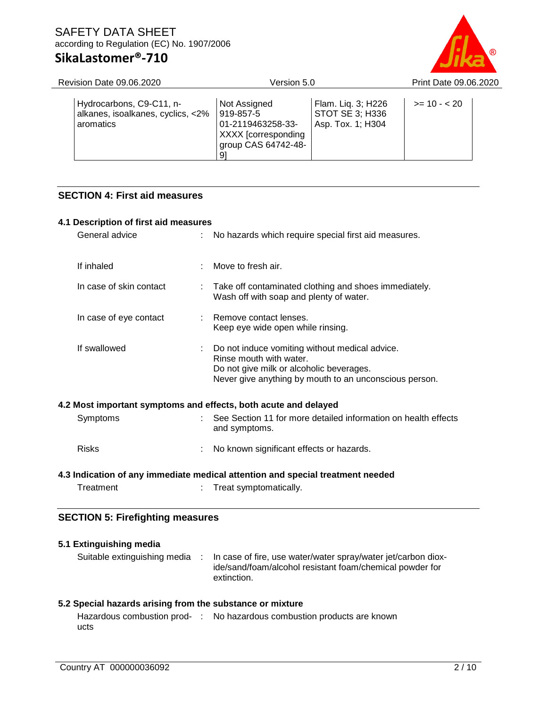# SAFETY DATA SHEET according to Regulation (EC) No. 1907/2006

# **SikaLastomer®-710**



| Hydrocarbons, C9-C11, n-<br>Flam. Liq. 3; H226<br>Not Assigned<br>$>= 10 - 20$<br>919-857-5        | Revision Date 09.06.2020          | Version 5.0 | Print Date 09.06.2020 |  |  |
|----------------------------------------------------------------------------------------------------|-----------------------------------|-------------|-----------------------|--|--|
| 01-2119463258-33-<br>Asp. Tox. 1; H304<br>aromatics<br>XXXX [corresponding]<br>group CAS 64742-48- | alkanes, isoalkanes, cyclics, <2% |             | STOT SE 3; H336       |  |  |

# **SECTION 4: First aid measures**

| 4.1 Description of first aid measures |                                                                                                                                                                                 |
|---------------------------------------|---------------------------------------------------------------------------------------------------------------------------------------------------------------------------------|
| General advice                        | No hazards which require special first aid measures.                                                                                                                            |
| If inhaled                            | Move to fresh air.                                                                                                                                                              |
| In case of skin contact               | Take off contaminated clothing and shoes immediately.<br>Wash off with soap and plenty of water.                                                                                |
| In case of eye contact                | Remove contact lenses.<br>Keep eye wide open while rinsing.                                                                                                                     |
| If swallowed                          | Do not induce vomiting without medical advice.<br>Rinse mouth with water.<br>Do not give milk or alcoholic beverages.<br>Never give anything by mouth to an unconscious person. |
|                                       | 4.2 Most important symptoms and effects, both acute and delayed                                                                                                                 |
| Symptoms                              | : See Section 11 for more detailed information on health effects<br>and symptoms.                                                                                               |
| <b>Risks</b>                          | No known significant effects or hazards.                                                                                                                                        |
|                                       | 4.3 Indication of any immediate medical attention and special treatment needed                                                                                                  |
| Treatment                             | Treat symptomatically.                                                                                                                                                          |

# **SECTION 5: Firefighting measures**

| 5.1 Extinguishing media      |                                                                                                                                          |
|------------------------------|------------------------------------------------------------------------------------------------------------------------------------------|
| Suitable extinguishing media | In case of fire, use water/water spray/water jet/carbon diox-<br>ide/sand/foam/alcohol resistant foam/chemical powder for<br>extinction. |

# **5.2 Special hazards arising from the substance or mixture**

Hazardous combustion prod-: No hazardous combustion products are knownucts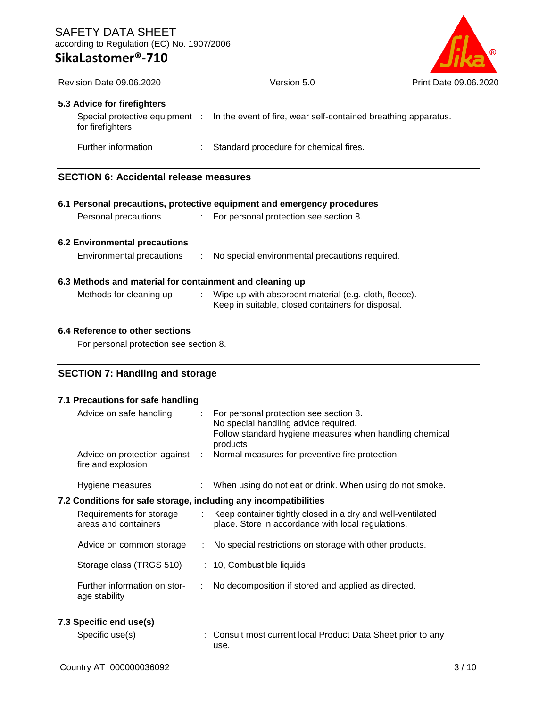# SAFETY DATA SHEET according to Regulation (EC) No. 1907/2006

# **SikaLastomer®-710**



| <b>Revision Date 09.06.2020</b>                          | Version 5.0                                                                                                  | Print Date 09.06.2020 |
|----------------------------------------------------------|--------------------------------------------------------------------------------------------------------------|-----------------------|
| 5.3 Advice for firefighters<br>for firefighters          | Special protective equipment : ln the event of fire, wear self-contained breathing apparatus.                |                       |
| Further information                                      | Standard procedure for chemical fires.                                                                       |                       |
|                                                          |                                                                                                              |                       |
| <b>SECTION 6: Accidental release measures</b>            |                                                                                                              |                       |
|                                                          |                                                                                                              |                       |
|                                                          | 6.1 Personal precautions, protective equipment and emergency procedures                                      |                       |
| Personal precautions                                     | : For personal protection see section 8.                                                                     |                       |
| 6.2 Environmental precautions                            |                                                                                                              |                       |
| Environmental precautions                                | : No special environmental precautions required.                                                             |                       |
| 6.3 Methods and material for containment and cleaning up |                                                                                                              |                       |
| Methods for cleaning up                                  | : Wipe up with absorbent material (e.g. cloth, fleece).<br>Keep in suitable, closed containers for disposal. |                       |

### **6.4 Reference to other sections**

For personal protection see section 8.

# **SECTION 7: Handling and storage**

| 7.1 Precautions for safe handling                                |    |                                                                                                                                                       |
|------------------------------------------------------------------|----|-------------------------------------------------------------------------------------------------------------------------------------------------------|
| Advice on safe handling                                          | ÷. | For personal protection see section 8.<br>No special handling advice required.<br>Follow standard hygiene measures when handling chemical<br>products |
| Advice on protection against :<br>fire and explosion             |    | Normal measures for preventive fire protection.                                                                                                       |
| Hygiene measures                                                 |    | : When using do not eat or drink. When using do not smoke.                                                                                            |
| 7.2 Conditions for safe storage, including any incompatibilities |    |                                                                                                                                                       |
| Requirements for storage<br>areas and containers                 | ÷  | Keep container tightly closed in a dry and well-ventilated<br>place. Store in accordance with local regulations.                                      |
| Advice on common storage                                         |    | No special restrictions on storage with other products.                                                                                               |
| Storage class (TRGS 510)                                         |    | : 10, Combustible liquids                                                                                                                             |
| Further information on stor-<br>age stability                    | ÷  | No decomposition if stored and applied as directed.                                                                                                   |
| 7.3 Specific end use(s)                                          |    |                                                                                                                                                       |
| Specific use(s)                                                  |    | : Consult most current local Product Data Sheet prior to any<br>use.                                                                                  |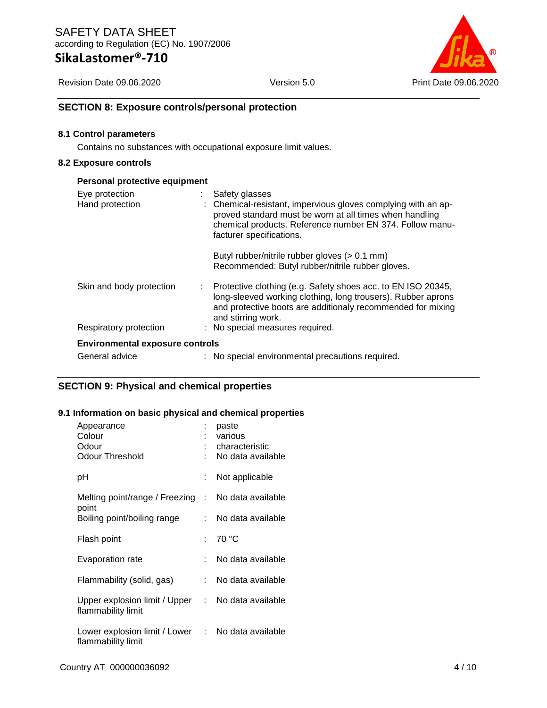# **SikaLastomer®-710**

Revision Date 09.06.2020 Version 5.0 Print Date 09.06.2020



# **SECTION 8: Exposure controls/personal protection**

#### **8.1 Control parameters**

Contains no substances with occupational exposure limit values.

#### **8.2 Exposure controls**

| Personal protective equipment          |                                                                                                                                                                                                                                    |
|----------------------------------------|------------------------------------------------------------------------------------------------------------------------------------------------------------------------------------------------------------------------------------|
| Eye protection<br>Hand protection      | Safety glasses<br>: Chemical-resistant, impervious gloves complying with an ap-<br>proved standard must be worn at all times when handling<br>chemical products. Reference number EN 374. Follow manu-<br>facturer specifications. |
|                                        | Butyl rubber/nitrile rubber gloves $(> 0.1$ mm)<br>Recommended: Butyl rubber/nitrile rubber gloves.                                                                                                                                |
| Skin and body protection               | Protective clothing (e.g. Safety shoes acc. to EN ISO 20345,<br>long-sleeved working clothing, long trousers). Rubber aprons<br>and protective boots are additionaly recommended for mixing<br>and stirring work.                  |
| Respiratory protection                 | : No special measures required.                                                                                                                                                                                                    |
| <b>Environmental exposure controls</b> |                                                                                                                                                                                                                                    |
| General advice                         | : No special environmental precautions required.                                                                                                                                                                                   |

# **SECTION 9: Physical and chemical properties**

#### **9.1 Information on basic physical and chemical properties**

| Appearance<br>Colour<br>Odour<br>Odour Threshold                        | ÷<br>÷ | paste<br>various<br>characteristic<br>No data available |
|-------------------------------------------------------------------------|--------|---------------------------------------------------------|
| рH                                                                      | t.     | Not applicable                                          |
| Melting point/range / Freezing : No data available<br>point             |        |                                                         |
| Boiling point/boiling range                                             | t.     | No data available                                       |
| Flash point                                                             |        | : 70 $^{\circ}$ C                                       |
| Evaporation rate                                                        |        | No data available                                       |
| Flammability (solid, gas)                                               | t.     | No data available                                       |
| Upper explosion limit / Upper :<br>flammability limit                   |        | No data available                                       |
| Lower explosion limit / Lower : No data available<br>flammability limit |        |                                                         |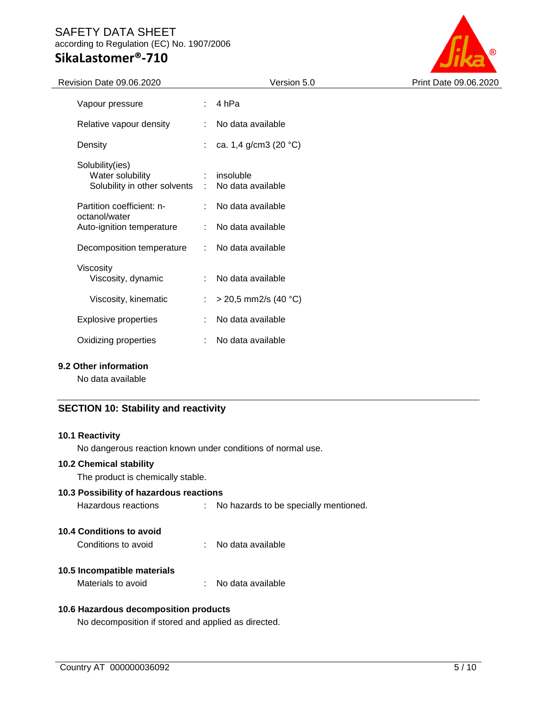# SAFETY DATA SHEET according to Regulation (EC) No. 1907/2006

# **SikaLastomer®-710**



| Revision Date 09.06.2020                                              |                             | Version 5.0                    | Print Date 09.06.2020 |
|-----------------------------------------------------------------------|-----------------------------|--------------------------------|-----------------------|
| Vapour pressure                                                       |                             | 4 hPa                          |                       |
| Relative vapour density                                               |                             | No data available              |                       |
| Density                                                               |                             | ca. 1,4 g/cm3 (20 °C)          |                       |
| Solubility(ies)<br>Water solubility<br>Solubility in other solvents : | $\mathcal{L}^{\text{max}}$  | insoluble<br>No data available |                       |
| Partition coefficient: n-<br>octanol/water                            |                             | No data available              |                       |
| Auto-ignition temperature                                             | $\mathcal{L}^{\mathcal{L}}$ | No data available              |                       |
| Decomposition temperature                                             | ÷.                          | No data available              |                       |
| Viscosity<br>Viscosity, dynamic                                       |                             | No data available              |                       |
| Viscosity, kinematic                                                  | ÷.                          | $>$ 20,5 mm2/s (40 °C)         |                       |
| <b>Explosive properties</b>                                           | ÷.                          | No data available              |                       |
| Oxidizing properties                                                  |                             | No data available              |                       |
|                                                                       |                             |                                |                       |

### **9.2 Other information**

No data available

# **SECTION 10: Stability and reactivity**

#### **10.1 Reactivity**

No dangerous reaction known under conditions of normal use.

### **10.2 Chemical stability**

The product is chemically stable.

# **10.3 Possibility of hazardous reactions**

Hazardous reactions : No hazards to be specially mentioned.

# **10.4 Conditions to avoid**

Conditions to avoid : No data available

# **10.5 Incompatible materials**

Materials to avoid : No data available

# **10.6 Hazardous decomposition products**

No decomposition if stored and applied as directed.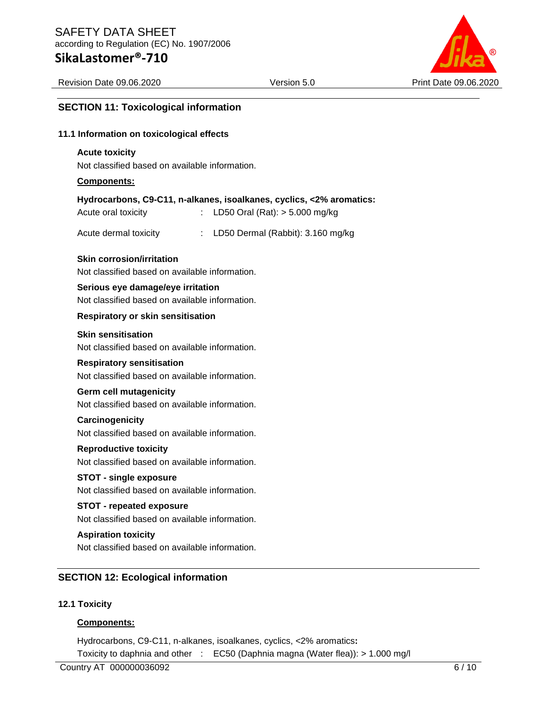

### **SECTION 11: Toxicological information**

#### **11.1 Information on toxicological effects**

#### **Acute toxicity**

Not classified based on available information.

#### **Components:**

|  |  | Hydrocarbons, C9-C11, n-alkanes, isoalkanes, cyclics, <2% aromatics: |
|--|--|----------------------------------------------------------------------|
|  |  |                                                                      |

| Acute oral toxicity |  | LD50 Oral (Rat): > 5.000 mg/kg |  |  |  |
|---------------------|--|--------------------------------|--|--|--|
|---------------------|--|--------------------------------|--|--|--|

Acute dermal toxicity : LD50 Dermal (Rabbit): 3.160 mg/kg

#### **Skin corrosion/irritation**

Not classified based on available information.

#### **Serious eye damage/eye irritation**

Not classified based on available information.

#### **Respiratory or skin sensitisation**

#### **Skin sensitisation**

Not classified based on available information.

#### **Respiratory sensitisation**

Not classified based on available information.

#### **Germ cell mutagenicity**

Not classified based on available information.

#### **Carcinogenicity**

Not classified based on available information.

#### **Reproductive toxicity**

Not classified based on available information.

### **STOT - single exposure**

Not classified based on available information.

#### **STOT - repeated exposure**

Not classified based on available information.

#### **Aspiration toxicity**

Not classified based on available information.

# **SECTION 12: Ecological information**

#### **12.1 Toxicity**

#### **Components:**

Hydrocarbons, C9-C11, n-alkanes, isoalkanes, cyclics, <2% aromatics**:**

Toxicity to daphnia and other : EC50 (Daphnia magna (Water flea)): > 1.000 mg/l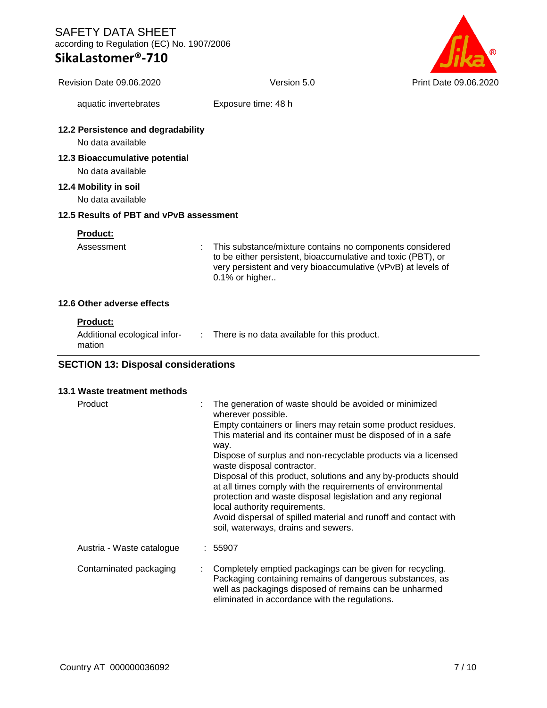# **SikaLastomer®-710**



| Revision Date 09.06.2020                                  | Version 5.0                                                                                                                                                                                                                                                                                                                                                                            | Print Date 09.06.2020 |
|-----------------------------------------------------------|----------------------------------------------------------------------------------------------------------------------------------------------------------------------------------------------------------------------------------------------------------------------------------------------------------------------------------------------------------------------------------------|-----------------------|
| aquatic invertebrates                                     | Exposure time: 48 h                                                                                                                                                                                                                                                                                                                                                                    |                       |
| 12.2 Persistence and degradability<br>No data available   |                                                                                                                                                                                                                                                                                                                                                                                        |                       |
| 12.3 Bioaccumulative potential<br>No data available       |                                                                                                                                                                                                                                                                                                                                                                                        |                       |
| 12.4 Mobility in soil<br>No data available                |                                                                                                                                                                                                                                                                                                                                                                                        |                       |
| 12.5 Results of PBT and vPvB assessment                   |                                                                                                                                                                                                                                                                                                                                                                                        |                       |
| Product:<br>Assessment                                    | This substance/mixture contains no components considered<br>to be either persistent, bioaccumulative and toxic (PBT), or<br>very persistent and very bioaccumulative (vPvB) at levels of<br>0.1% or higher                                                                                                                                                                             |                       |
| 12.6 Other adverse effects                                |                                                                                                                                                                                                                                                                                                                                                                                        |                       |
| <b>Product:</b><br>Additional ecological infor-<br>mation | There is no data available for this product.<br>$\mathcal{I}^{\mathcal{I}}$ .                                                                                                                                                                                                                                                                                                          |                       |
| <b>SECTION 13: Disposal considerations</b>                |                                                                                                                                                                                                                                                                                                                                                                                        |                       |
| 13.1 Waste treatment methods                              |                                                                                                                                                                                                                                                                                                                                                                                        |                       |
| Product                                                   | The generation of waste should be avoided or minimized<br>wherever possible.<br>Empty containers or liners may retain some product residues.<br>This material and its container must be disposed of in a safe<br>way.<br>Dispose of surplus and non-recyclable products via a licensed<br>waste disposal contractor.<br>Disposal of this product, solutions and any by-products should |                       |

at all times comply with the requirements of environmental protection and waste disposal legislation and any regional local authority requirements.

Avoid dispersal of spilled material and runoff and contact with soil, waterways, drains and sewers.

Austria - Waste catalogue : 55907 Contaminated packaging : Completely emptied packagings can be given for recycling. Packaging containing remains of dangerous substances, as well as packagings disposed of remains can be unharmed eliminated in accordance with the regulations.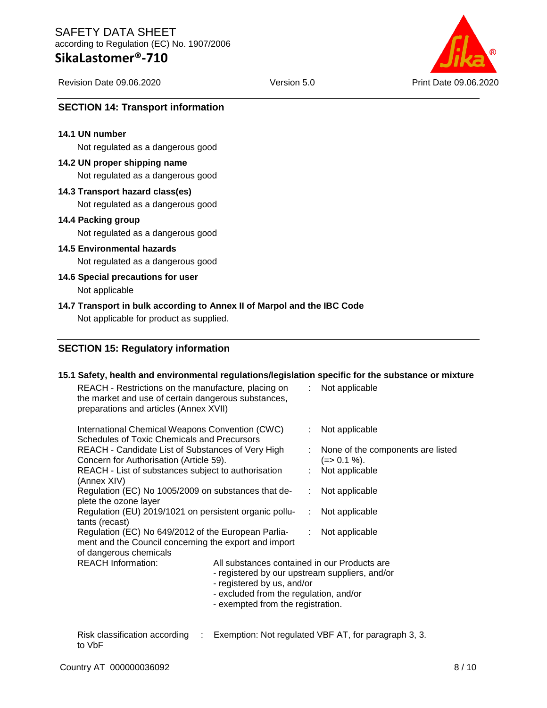# **SikaLastomer®-710**

Revision Date 09.06.2020 Version 5.0 Print Date 09.06.2020



# **SECTION 14: Transport information**

#### **14.1 UN number**

Not regulated as a dangerous good

#### **14.2 UN proper shipping name**

Not regulated as a dangerous good

### **14.3 Transport hazard class(es)**

Not regulated as a dangerous good

#### **14.4 Packing group**

Not regulated as a dangerous good

#### **14.5 Environmental hazards**

Not regulated as a dangerous good

#### **14.6 Special precautions for user**

Not applicable

#### **14.7 Transport in bulk according to Annex II of Marpol and the IBC Code**

Not applicable for product as supplied.

# **SECTION 15: Regulatory information**

#### **15.1 Safety, health and environmental regulations/legislation specific for the substance or mixture**

| REACH - Restrictions on the manufacture, placing on<br>the market and use of certain dangerous substances,<br>preparations and articles (Annex XVII) |                                                                                                                                                                                                             |    | : Not applicable                                     |
|------------------------------------------------------------------------------------------------------------------------------------------------------|-------------------------------------------------------------------------------------------------------------------------------------------------------------------------------------------------------------|----|------------------------------------------------------|
| International Chemical Weapons Convention (CWC)<br><b>Schedules of Toxic Chemicals and Precursors</b>                                                |                                                                                                                                                                                                             | ÷. | Not applicable                                       |
| REACH - Candidate List of Substances of Very High<br>Concern for Authorisation (Article 59).                                                         |                                                                                                                                                                                                             |    | None of the components are listed<br>$(=>0.1\%).$    |
| REACH - List of substances subject to authorisation<br>(Annex XIV)                                                                                   |                                                                                                                                                                                                             |    | : Not applicable                                     |
| Regulation (EC) No 1005/2009 on substances that de-<br>plete the ozone layer                                                                         |                                                                                                                                                                                                             |    | : Not applicable                                     |
| Regulation (EU) 2019/1021 on persistent organic pollu-<br>tants (recast)                                                                             |                                                                                                                                                                                                             |    | $:$ Not applicable                                   |
| Regulation (EC) No 649/2012 of the European Parlia-<br>ment and the Council concerning the export and import<br>of dangerous chemicals               |                                                                                                                                                                                                             |    | : Not applicable                                     |
| <b>REACH Information:</b>                                                                                                                            | All substances contained in our Products are<br>- registered by our upstream suppliers, and/or<br>- registered by us, and/or<br>- excluded from the regulation, and/or<br>- exempted from the registration. |    |                                                      |
| Risk classification according<br>÷.                                                                                                                  |                                                                                                                                                                                                             |    | Exemption: Not regulated VBF AT, for paragraph 3, 3. |

to VbF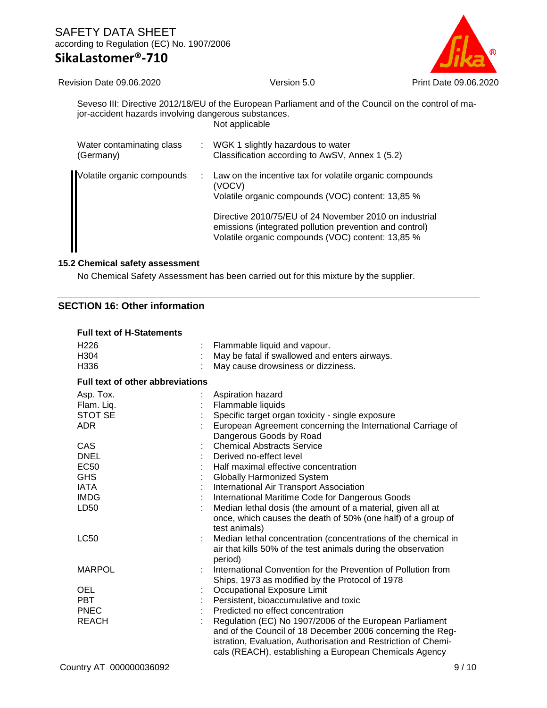

Revision Date 09.06.2020 Version 5.0 Print Date 09.06.2020

Seveso III: Directive 2012/18/EU of the European Parliament and of the Council on the control of major-accident hazards involving dangerous substances. Not applicable

| Water contaminating class<br>(Germany) | ÷. | WGK 1 slightly hazardous to water<br>Classification according to AwSV, Annex 1 (5.2)                                                                                                                                                                                                             |
|----------------------------------------|----|--------------------------------------------------------------------------------------------------------------------------------------------------------------------------------------------------------------------------------------------------------------------------------------------------|
| Volatile organic compounds             |    | Law on the incentive tax for volatile organic compounds<br>(VOCV)<br>Volatile organic compounds (VOC) content: 13,85 %<br>Directive 2010/75/EU of 24 November 2010 on industrial<br>emissions (integrated pollution prevention and control)<br>Volatile organic compounds (VOC) content: 13,85 % |

### **15.2 Chemical safety assessment**

No Chemical Safety Assessment has been carried out for this mixture by the supplier.

# **SECTION 16: Other information**

| <b>Full text of H-Statements</b>        |                                                                                                                                                                                                                                                   |
|-----------------------------------------|---------------------------------------------------------------------------------------------------------------------------------------------------------------------------------------------------------------------------------------------------|
| H <sub>226</sub>                        | Flammable liquid and vapour.                                                                                                                                                                                                                      |
| H304                                    | May be fatal if swallowed and enters airways.                                                                                                                                                                                                     |
| H336                                    | May cause drowsiness or dizziness.                                                                                                                                                                                                                |
| <b>Full text of other abbreviations</b> |                                                                                                                                                                                                                                                   |
| Asp. Tox.                               | Aspiration hazard                                                                                                                                                                                                                                 |
| Flam. Liq.                              | Flammable liquids                                                                                                                                                                                                                                 |
| <b>STOT SE</b>                          | Specific target organ toxicity - single exposure                                                                                                                                                                                                  |
| ADR.                                    | European Agreement concerning the International Carriage of<br>Dangerous Goods by Road                                                                                                                                                            |
| CAS                                     | <b>Chemical Abstracts Service</b>                                                                                                                                                                                                                 |
| <b>DNEL</b>                             | Derived no-effect level                                                                                                                                                                                                                           |
| <b>EC50</b>                             | Half maximal effective concentration                                                                                                                                                                                                              |
| <b>GHS</b>                              | Globally Harmonized System                                                                                                                                                                                                                        |
| <b>IATA</b>                             | International Air Transport Association                                                                                                                                                                                                           |
| <b>IMDG</b>                             | International Maritime Code for Dangerous Goods                                                                                                                                                                                                   |
| LD50                                    | Median lethal dosis (the amount of a material, given all at<br>once, which causes the death of 50% (one half) of a group of<br>test animals)                                                                                                      |
| <b>LC50</b>                             | Median lethal concentration (concentrations of the chemical in<br>air that kills 50% of the test animals during the observation<br>period)                                                                                                        |
| <b>MARPOL</b>                           | International Convention for the Prevention of Pollution from<br>Ships, 1973 as modified by the Protocol of 1978                                                                                                                                  |
| OEL                                     | Occupational Exposure Limit                                                                                                                                                                                                                       |
| <b>PBT</b>                              | Persistent, bioaccumulative and toxic                                                                                                                                                                                                             |
| <b>PNEC</b>                             | Predicted no effect concentration                                                                                                                                                                                                                 |
| <b>REACH</b>                            | Regulation (EC) No 1907/2006 of the European Parliament<br>and of the Council of 18 December 2006 concerning the Reg-<br>istration, Evaluation, Authorisation and Restriction of Chemi-<br>cals (REACH), establishing a European Chemicals Agency |